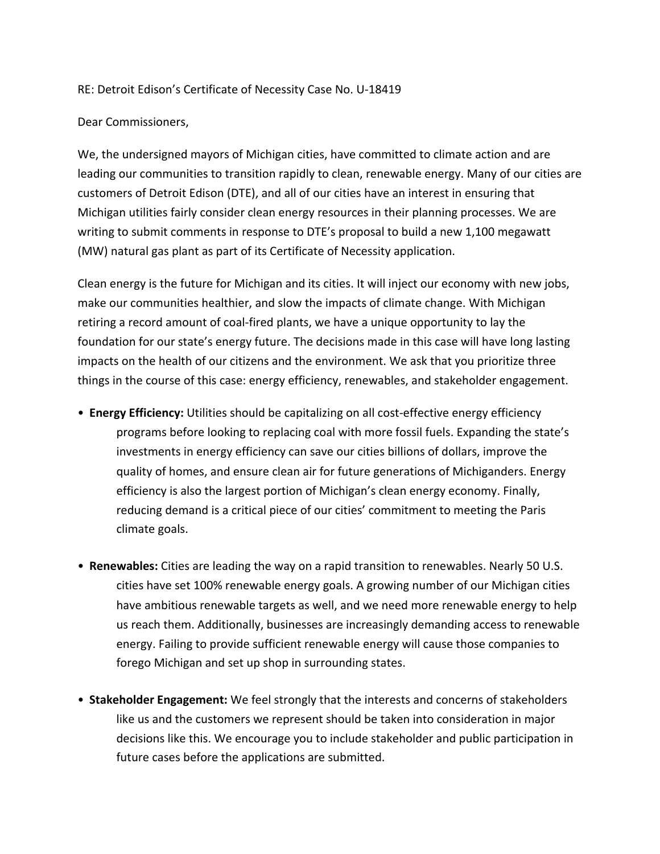## RE: Detroit Edison's Certificate of Necessity Case No. U-18419

## Dear Commissioners,

We, the undersigned mayors of Michigan cities, have committed to climate action and are leading our communities to transition rapidly to clean, renewable energy. Many of our cities are customers of Detroit Edison (DTE), and all of our cities have an interest in ensuring that Michigan utilities fairly consider clean energy resources in their planning processes. We are writing to submit comments in response to DTE's proposal to build a new 1,100 megawatt (MW) natural gas plant as part of its Certificate of Necessity application.

Clean energy is the future for Michigan and its cities. It will inject our economy with new jobs, make our communities healthier, and slow the impacts of climate change. With Michigan retiring a record amount of coal-fired plants, we have a unique opportunity to lay the foundation for our state's energy future. The decisions made in this case will have long lasting impacts on the health of our citizens and the environment. We ask that you prioritize three things in the course of this case: energy efficiency, renewables, and stakeholder engagement.

- **Energy Efficiency:** Utilities should be capitalizing on all cost-effective energy efficiency programs before looking to replacing coal with more fossil fuels. Expanding the state's investments in energy efficiency can save our cities billions of dollars, improve the quality of homes, and ensure clean air for future generations of Michiganders. Energy efficiency is also the largest portion of Michigan's clean energy economy. Finally, reducing demand is a critical piece of our cities' commitment to meeting the Paris climate goals.
- **Renewables:** Cities are leading the way on a rapid transition to renewables. Nearly 50 U.S. cities have set 100% renewable energy goals. A growing number of our Michigan cities have ambitious renewable targets as well, and we need more renewable energy to help us reach them. Additionally, businesses are increasingly demanding access to renewable energy. Failing to provide sufficient renewable energy will cause those companies to forego Michigan and set up shop in surrounding states.
- Stakeholder Engagement: We feel strongly that the interests and concerns of stakeholders like us and the customers we represent should be taken into consideration in major decisions like this. We encourage you to include stakeholder and public participation in future cases before the applications are submitted.